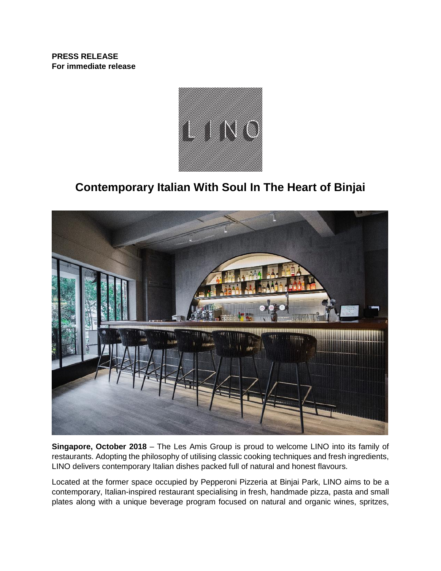**PRESS RELEASE For immediate release**



# **Contemporary Italian With Soul In The Heart of Binjai**



**Singapore, October 2018** – The Les Amis Group is proud to welcome LINO into its family of restaurants. Adopting the philosophy of utilising classic cooking techniques and fresh ingredients, LINO delivers contemporary Italian dishes packed full of natural and honest flavours.

Located at the former space occupied by Pepperoni Pizzeria at Binjai Park, LINO aims to be a contemporary, Italian-inspired restaurant specialising in fresh, handmade pizza, pasta and small plates along with a unique beverage program focused on natural and organic wines, spritzes,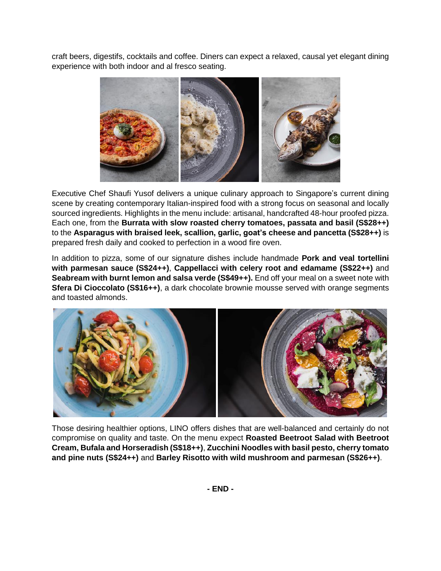craft beers, digestifs, cocktails and coffee. Diners can expect a relaxed, causal yet elegant dining experience with both indoor and al fresco seating.



Executive Chef Shaufi Yusof delivers a unique culinary approach to Singapore's current dining scene by creating contemporary Italian-inspired food with a strong focus on seasonal and locally sourced ingredients. Highlights in the menu include: artisanal, handcrafted 48-hour proofed pizza. Each one, from the **Burrata with slow roasted cherry tomatoes, passata and basil (S\$28++)** to the **Asparagus with braised leek, scallion, garlic, goat's cheese and pancetta (S\$28++)** is prepared fresh daily and cooked to perfection in a wood fire oven.

In addition to pizza, some of our signature dishes include handmade **Pork and veal tortellini with parmesan sauce (S\$24++)**, **Cappellacci with celery root and edamame (S\$22++)** and **Seabream with burnt lemon and salsa verde (S\$49++).** End off your meal on a sweet note with **Sfera Di Cioccolato (S\$16++)**, a dark chocolate brownie mousse served with orange segments and toasted almonds.



Those desiring healthier options, LINO offers dishes that are well-balanced and certainly do not compromise on quality and taste. On the menu expect **Roasted Beetroot Salad with Beetroot Cream, Bufala and Horseradish (S\$18++)**, **Zucchini Noodles with basil pesto, cherry tomato and pine nuts (S\$24++)** and **Barley Risotto with wild mushroom and parmesan (S\$26++)**.